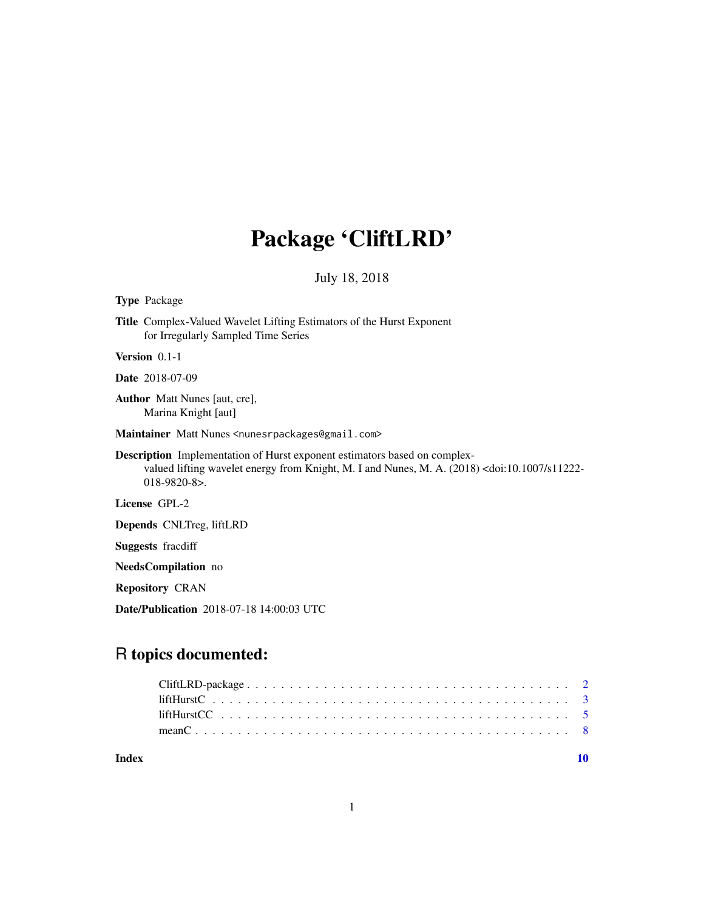# Package 'CliftLRD'

# July 18, 2018

#### <span id="page-0-0"></span>Type Package

Title Complex-Valued Wavelet Lifting Estimators of the Hurst Exponent for Irregularly Sampled Time Series

Version 0.1-1

Date 2018-07-09

Author Matt Nunes [aut, cre], Marina Knight [aut]

Maintainer Matt Nunes <nunesrpackages@gmail.com>

Description Implementation of Hurst exponent estimators based on complexvalued lifting wavelet energy from Knight, M. I and Nunes, M. A. (2018) <doi:10.1007/s11222- 018-9820-8>.

License GPL-2

Depends CNLTreg, liftLRD

Suggests fracdiff

NeedsCompilation no

Repository CRAN

Date/Publication 2018-07-18 14:00:03 UTC

# R topics documented:

 $\blacksquare$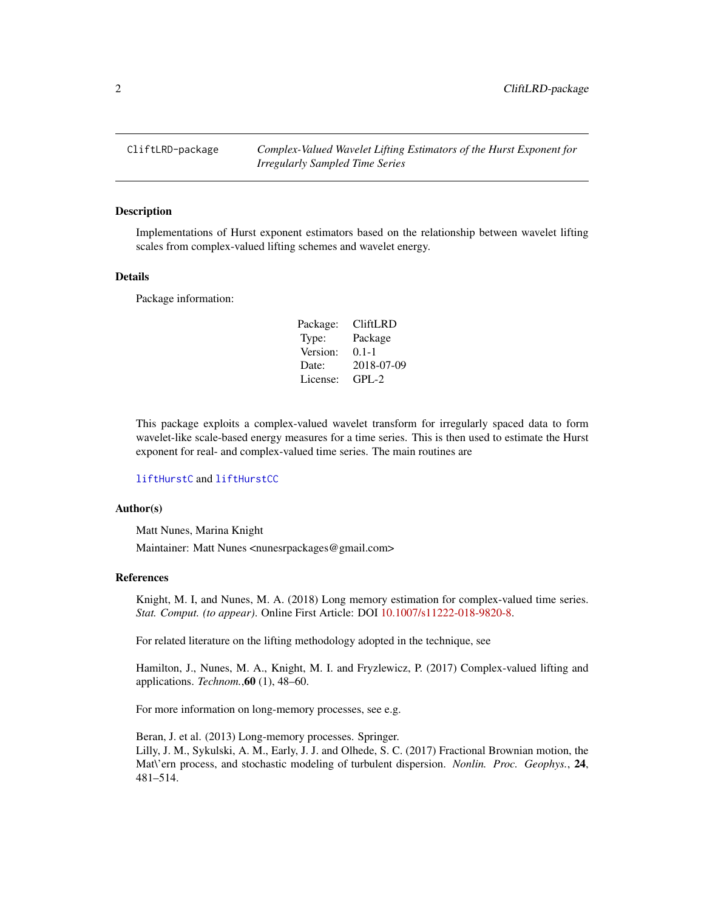<span id="page-1-0"></span>CliftLRD-package *Complex-Valued Wavelet Lifting Estimators of the Hurst Exponent for Irregularly Sampled Time Series*

#### Description

Implementations of Hurst exponent estimators based on the relationship between wavelet lifting scales from complex-valued lifting schemes and wavelet energy.

#### Details

Package information:

| Package: | CliftLRD   |
|----------|------------|
| Type:    | Package    |
| Version: | $0.1 - 1$  |
| Date:    | 2018-07-09 |
| License: | $GPI - 2$  |

This package exploits a complex-valued wavelet transform for irregularly spaced data to form wavelet-like scale-based energy measures for a time series. This is then used to estimate the Hurst exponent for real- and complex-valued time series. The main routines are

#### [liftHurstC](#page-2-1) and [liftHurstCC](#page-4-1)

#### Author(s)

Matt Nunes, Marina Knight Maintainer: Matt Nunes <nunesrpackages@gmail.com>

#### References

Knight, M. I, and Nunes, M. A. (2018) Long memory estimation for complex-valued time series. *Stat. Comput. (to appear)*. Online First Article: DOI [10.1007/s11222-018-9820-8.](https://doi.org/10.1007/s11222-018-9820-8)

For related literature on the lifting methodology adopted in the technique, see

Hamilton, J., Nunes, M. A., Knight, M. I. and Fryzlewicz, P. (2017) Complex-valued lifting and applications. *Technom.*,60 (1), 48–60.

For more information on long-memory processes, see e.g.

Beran, J. et al. (2013) Long-memory processes. Springer. Lilly, J. M., Sykulski, A. M., Early, J. J. and Olhede, S. C. (2017) Fractional Brownian motion, the Mat\'ern process, and stochastic modeling of turbulent dispersion. *Nonlin. Proc. Geophys.*, 24, 481–514.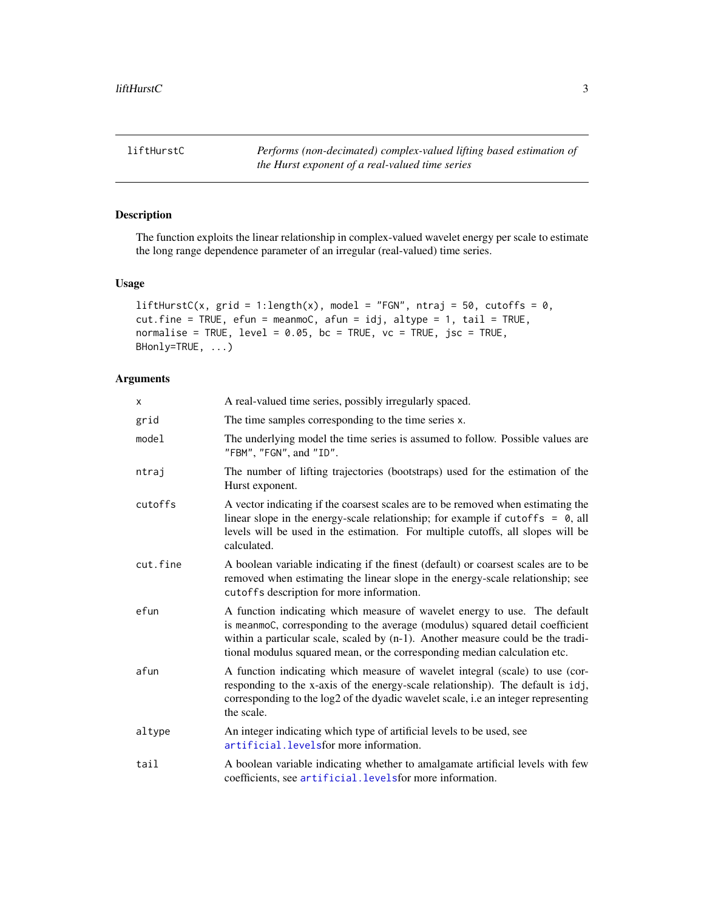<span id="page-2-1"></span><span id="page-2-0"></span>liftHurstC *Performs (non-decimated) complex-valued lifting based estimation of the Hurst exponent of a real-valued time series*

# Description

The function exploits the linear relationship in complex-valued wavelet energy per scale to estimate the long range dependence parameter of an irregular (real-valued) time series.

# Usage

```
liftHurstC(x, grid = 1:length(x), model = "FGN", ntraj = 50, cutoffs = 0,
cut.fine = TRUE, efun = meanmoC, afun = idj, altype = 1, tail = TRUE,
normalise = TRUE, level = 0.05, bc = TRUE, vc = TRUE, jsc = TRUE,
BHonly=TRUE, ...)
```
# Arguments

| X.       | A real-valued time series, possibly irregularly spaced.                                                                                                                                                                                                                                                                       |
|----------|-------------------------------------------------------------------------------------------------------------------------------------------------------------------------------------------------------------------------------------------------------------------------------------------------------------------------------|
| grid     | The time samples corresponding to the time series x.                                                                                                                                                                                                                                                                          |
| model    | The underlying model the time series is assumed to follow. Possible values are<br>"FBM", "FGN", and "ID".                                                                                                                                                                                                                     |
| ntraj    | The number of lifting trajectories (bootstraps) used for the estimation of the<br>Hurst exponent.                                                                                                                                                                                                                             |
| cutoffs  | A vector indicating if the coarsest scales are to be removed when estimating the<br>linear slope in the energy-scale relationship; for example if cutoffs = $\theta$ , all<br>levels will be used in the estimation. For multiple cutoffs, all slopes will be<br>calculated.                                                  |
| cut.fine | A boolean variable indicating if the finest (default) or coarsest scales are to be<br>removed when estimating the linear slope in the energy-scale relationship; see<br>cutoffs description for more information.                                                                                                             |
| efun     | A function indicating which measure of wavelet energy to use. The default<br>is meanmoC, corresponding to the average (modulus) squared detail coefficient<br>within a particular scale, scaled by $(n-1)$ . Another measure could be the tradi-<br>tional modulus squared mean, or the corresponding median calculation etc. |
| afun     | A function indicating which measure of wavelet integral (scale) to use (cor-<br>responding to the x-axis of the energy-scale relationship). The default is idj,<br>corresponding to the log2 of the dyadic wavelet scale, i.e an integer representing<br>the scale.                                                           |
| altype   | An integer indicating which type of artificial levels to be used, see<br>artificial. levels for more information.                                                                                                                                                                                                             |
| tail     | A boolean variable indicating whether to amalgamate artificial levels with few<br>coefficients, see artificial. levels for more information.                                                                                                                                                                                  |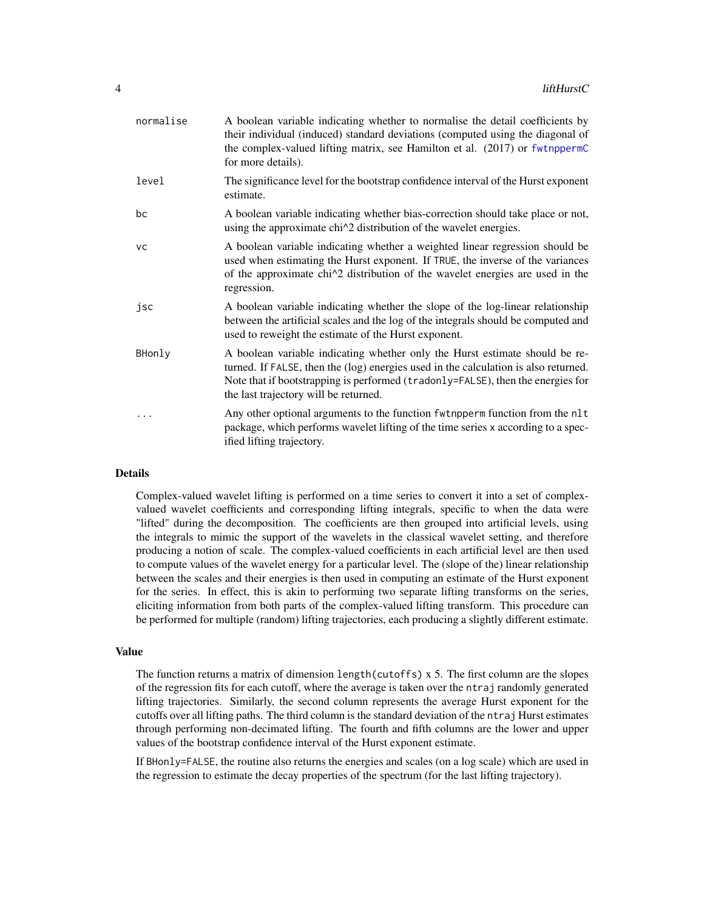<span id="page-3-0"></span>

| level<br>estimate.<br>bc<br>using the approximate chi <sup><math>\wedge</math>2</sup> distribution of the wavelet energies.<br><b>VC</b><br>regression.<br>jsc<br>used to reweight the estimate of the Hurst exponent.<br>BHonly<br>the last trajectory will be returned.<br>ified lifting trajectory. | normalise | A boolean variable indicating whether to normalise the detail coefficients by<br>their individual (induced) standard deviations (computed using the diagonal of<br>the complex-valued lifting matrix, see Hamilton et al. (2017) or fwtnppermC<br>for more details).            |
|--------------------------------------------------------------------------------------------------------------------------------------------------------------------------------------------------------------------------------------------------------------------------------------------------------|-----------|---------------------------------------------------------------------------------------------------------------------------------------------------------------------------------------------------------------------------------------------------------------------------------|
|                                                                                                                                                                                                                                                                                                        |           | The significance level for the bootstrap confidence interval of the Hurst exponent                                                                                                                                                                                              |
|                                                                                                                                                                                                                                                                                                        |           | A boolean variable indicating whether bias-correction should take place or not,                                                                                                                                                                                                 |
|                                                                                                                                                                                                                                                                                                        |           | A boolean variable indicating whether a weighted linear regression should be<br>used when estimating the Hurst exponent. If TRUE, the inverse of the variances<br>of the approximate chi <sup><math>\lambda</math></sup> 2 distribution of the wavelet energies are used in the |
|                                                                                                                                                                                                                                                                                                        |           | A boolean variable indicating whether the slope of the log-linear relationship<br>between the artificial scales and the log of the integrals should be computed and                                                                                                             |
|                                                                                                                                                                                                                                                                                                        |           | A boolean variable indicating whether only the Hurst estimate should be re-<br>turned. If FALSE, then the (log) energies used in the calculation is also returned.<br>Note that if bootstrapping is performed (tradonly=FALSE), then the energies for                           |
|                                                                                                                                                                                                                                                                                                        |           | Any other optional arguments to the function fwtnpperm function from the nlt<br>package, which performs wavelet lifting of the time series x according to a spec-                                                                                                               |

#### Details

Complex-valued wavelet lifting is performed on a time series to convert it into a set of complexvalued wavelet coefficients and corresponding lifting integrals, specific to when the data were "lifted" during the decomposition. The coefficients are then grouped into artificial levels, using the integrals to mimic the support of the wavelets in the classical wavelet setting, and therefore producing a notion of scale. The complex-valued coefficients in each artificial level are then used to compute values of the wavelet energy for a particular level. The (slope of the) linear relationship between the scales and their energies is then used in computing an estimate of the Hurst exponent for the series. In effect, this is akin to performing two separate lifting transforms on the series, eliciting information from both parts of the complex-valued lifting transform. This procedure can be performed for multiple (random) lifting trajectories, each producing a slightly different estimate.

#### Value

The function returns a matrix of dimension length(cutoffs) x 5. The first column are the slopes of the regression fits for each cutoff, where the average is taken over the ntraj randomly generated lifting trajectories. Similarly, the second column represents the average Hurst exponent for the cutoffs over all lifting paths. The third column is the standard deviation of the ntraj Hurst estimates through performing non-decimated lifting. The fourth and fifth columns are the lower and upper values of the bootstrap confidence interval of the Hurst exponent estimate.

If BHonly=FALSE, the routine also returns the energies and scales (on a log scale) which are used in the regression to estimate the decay properties of the spectrum (for the last lifting trajectory).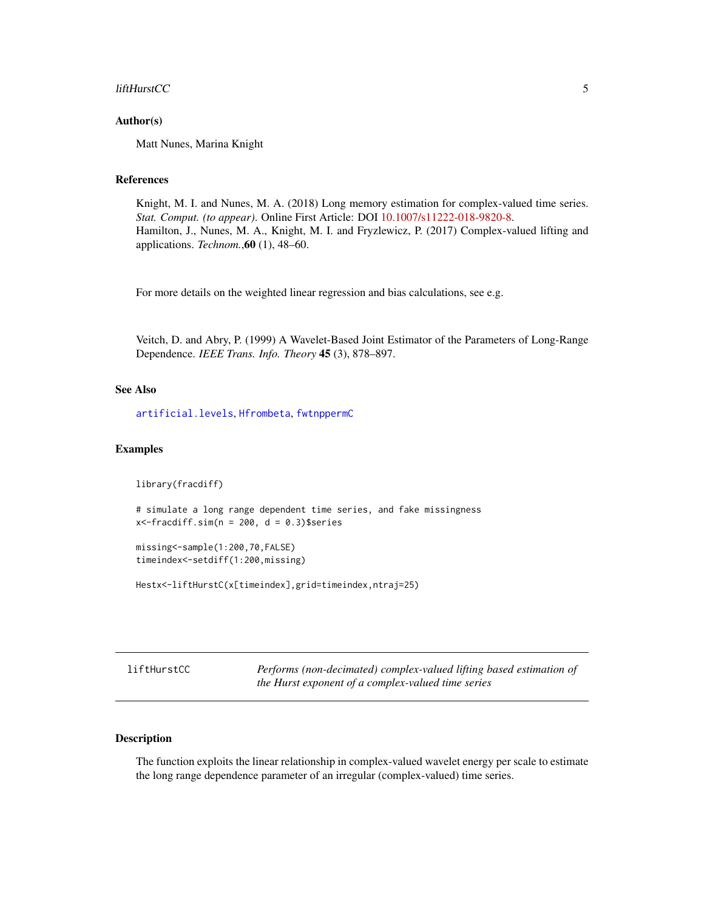#### <span id="page-4-0"></span>liftHurstCC 5

#### Author(s)

Matt Nunes, Marina Knight

# References

Knight, M. I. and Nunes, M. A. (2018) Long memory estimation for complex-valued time series. *Stat. Comput. (to appear)*. Online First Article: DOI [10.1007/s11222-018-9820-8.](https://doi.org/10.1007/s11222-018-9820-8) Hamilton, J., Nunes, M. A., Knight, M. I. and Fryzlewicz, P. (2017) Complex-valued lifting and applications. *Technom.*,60 (1), 48–60.

For more details on the weighted linear regression and bias calculations, see e.g.

Veitch, D. and Abry, P. (1999) A Wavelet-Based Joint Estimator of the Parameters of Long-Range Dependence. *IEEE Trans. Info. Theory* 45 (3), 878–897.

#### See Also

[artificial.levels](#page-0-0), [Hfrombeta](#page-0-0), [fwtnppermC](#page-0-0)

#### Examples

library(fracdiff)

# simulate a long range dependent time series, and fake missingness  $x$  <-fracdiff.sim(n = 200, d = 0.3)\$series

missing<-sample(1:200,70,FALSE) timeindex<-setdiff(1:200,missing)

Hestx<-liftHurstC(x[timeindex],grid=timeindex,ntraj=25)

<span id="page-4-1"></span>

| liftHurstCC | Performs (non-decimated) complex-valued lifting based estimation of |
|-------------|---------------------------------------------------------------------|
|             | the Hurst exponent of a complex-valued time series                  |

# Description

The function exploits the linear relationship in complex-valued wavelet energy per scale to estimate the long range dependence parameter of an irregular (complex-valued) time series.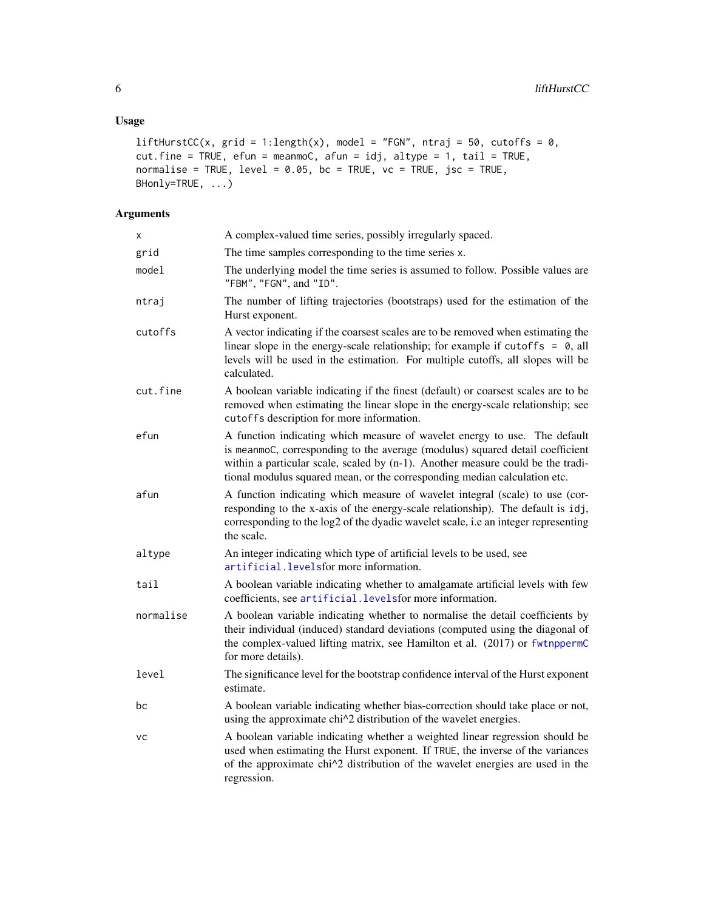```
liftHurstCC(x, grid = 1:length(x), model = "FGN", ntraj = 50, cutoffs = 0,
cut.fine = TRUE, efun = meanmoC, afun = idj, altype = 1, tail = TRUE,
normalise = TRUE, level = 0.05, bc = TRUE, vc = TRUE, jsc = TRUE,
BHonly=TRUE, ...)
```
# Arguments

| X         | A complex-valued time series, possibly irregularly spaced.                                                                                                                                                                                                                                                                    |
|-----------|-------------------------------------------------------------------------------------------------------------------------------------------------------------------------------------------------------------------------------------------------------------------------------------------------------------------------------|
| grid      | The time samples corresponding to the time series x.                                                                                                                                                                                                                                                                          |
| model     | The underlying model the time series is assumed to follow. Possible values are<br>"FBM", "FGN", and "ID".                                                                                                                                                                                                                     |
| ntraj     | The number of lifting trajectories (bootstraps) used for the estimation of the<br>Hurst exponent.                                                                                                                                                                                                                             |
| cutoffs   | A vector indicating if the coarsest scales are to be removed when estimating the<br>linear slope in the energy-scale relationship; for example if cutoffs = $\theta$ , all<br>levels will be used in the estimation. For multiple cutoffs, all slopes will be<br>calculated.                                                  |
| cut.fine  | A boolean variable indicating if the finest (default) or coarsest scales are to be<br>removed when estimating the linear slope in the energy-scale relationship; see<br>cutoffs description for more information.                                                                                                             |
| efun      | A function indicating which measure of wavelet energy to use. The default<br>is meanmoC, corresponding to the average (modulus) squared detail coefficient<br>within a particular scale, scaled by $(n-1)$ . Another measure could be the tradi-<br>tional modulus squared mean, or the corresponding median calculation etc. |
| afun      | A function indicating which measure of wavelet integral (scale) to use (cor-<br>responding to the x-axis of the energy-scale relationship). The default is idj,<br>corresponding to the log2 of the dyadic wavelet scale, i.e an integer representing<br>the scale.                                                           |
| altype    | An integer indicating which type of artificial levels to be used, see<br>artificial.levelsfor more information.                                                                                                                                                                                                               |
| tail      | A boolean variable indicating whether to amalgamate artificial levels with few<br>coefficients, see artificial. levels for more information.                                                                                                                                                                                  |
| normalise | A boolean variable indicating whether to normalise the detail coefficients by<br>their individual (induced) standard deviations (computed using the diagonal of<br>the complex-valued lifting matrix, see Hamilton et al. (2017) or fwtnppermC<br>for more details).                                                          |
| level     | The significance level for the bootstrap confidence interval of the Hurst exponent<br>estimate.                                                                                                                                                                                                                               |
| bc        | A boolean variable indicating whether bias-correction should take place or not,<br>using the approximate chi^2 distribution of the wavelet energies.                                                                                                                                                                          |
| vc        | A boolean variable indicating whether a weighted linear regression should be<br>used when estimating the Hurst exponent. If TRUE, the inverse of the variances<br>of the approximate chi^2 distribution of the wavelet energies are used in the<br>regression.                                                                |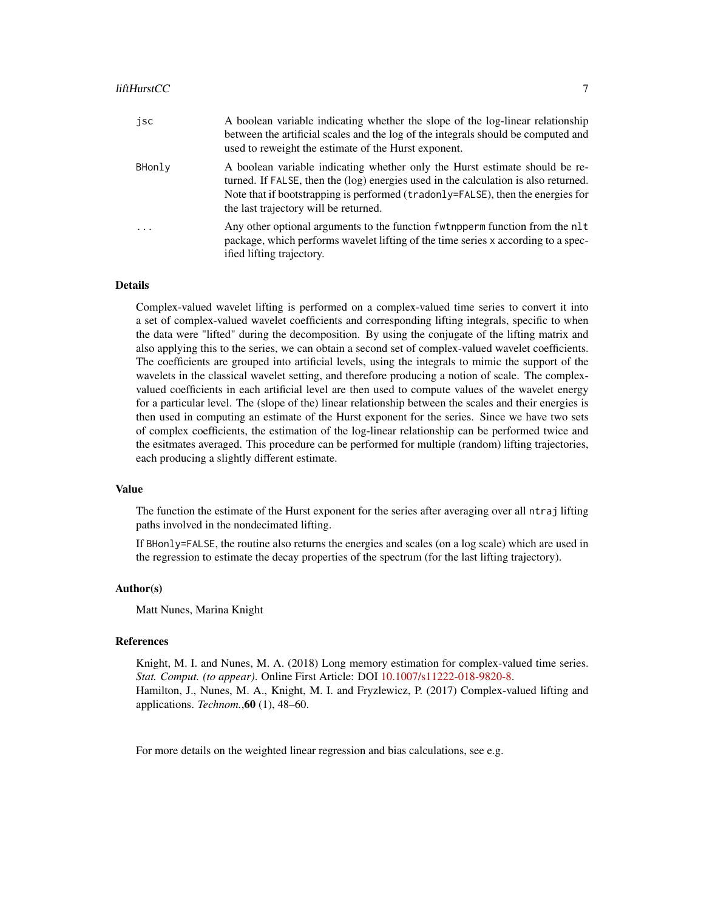#### liftHurstCC 7

| jsc      | A boolean variable indicating whether the slope of the log-linear relationship<br>between the artificial scales and the log of the integrals should be computed and<br>used to reweight the estimate of the Hurst exponent.                                                                    |
|----------|------------------------------------------------------------------------------------------------------------------------------------------------------------------------------------------------------------------------------------------------------------------------------------------------|
| BHonly   | A boolean variable indicating whether only the Hurst estimate should be re-<br>turned. If FALSE, then the (log) energies used in the calculation is also returned.<br>Note that if bootstrapping is performed (tradonly=FALSE), then the energies for<br>the last trajectory will be returned. |
| $\ddots$ | Any other optional arguments to the function function function from the nlt<br>package, which performs wavelet lifting of the time series x according to a spec-<br>ified lifting trajectory.                                                                                                  |

#### Details

Complex-valued wavelet lifting is performed on a complex-valued time series to convert it into a set of complex-valued wavelet coefficients and corresponding lifting integrals, specific to when the data were "lifted" during the decomposition. By using the conjugate of the lifting matrix and also applying this to the series, we can obtain a second set of complex-valued wavelet coefficients. The coefficients are grouped into artificial levels, using the integrals to mimic the support of the wavelets in the classical wavelet setting, and therefore producing a notion of scale. The complexvalued coefficients in each artificial level are then used to compute values of the wavelet energy for a particular level. The (slope of the) linear relationship between the scales and their energies is then used in computing an estimate of the Hurst exponent for the series. Since we have two sets of complex coefficients, the estimation of the log-linear relationship can be performed twice and the esitmates averaged. This procedure can be performed for multiple (random) lifting trajectories, each producing a slightly different estimate.

#### Value

The function the estimate of the Hurst exponent for the series after averaging over all ntraj lifting paths involved in the nondecimated lifting.

If BHonly=FALSE, the routine also returns the energies and scales (on a log scale) which are used in the regression to estimate the decay properties of the spectrum (for the last lifting trajectory).

#### Author(s)

Matt Nunes, Marina Knight

#### References

Knight, M. I. and Nunes, M. A. (2018) Long memory estimation for complex-valued time series. *Stat. Comput. (to appear)*. Online First Article: DOI [10.1007/s11222-018-9820-8.](https://doi.org/10.1007/s11222-018-9820-8) Hamilton, J., Nunes, M. A., Knight, M. I. and Fryzlewicz, P. (2017) Complex-valued lifting and applications. *Technom.*,60 (1), 48–60.

For more details on the weighted linear regression and bias calculations, see e.g.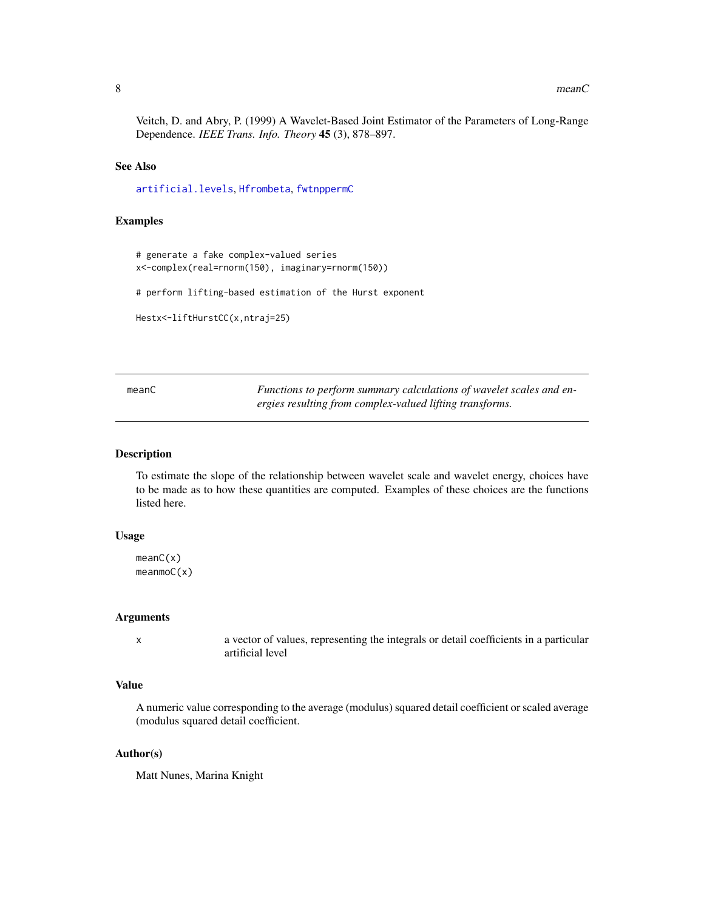#### <span id="page-7-0"></span>8 mean C

Veitch, D. and Abry, P. (1999) A Wavelet-Based Joint Estimator of the Parameters of Long-Range Dependence. *IEEE Trans. Info. Theory* 45 (3), 878–897.

#### See Also

[artificial.levels](#page-0-0), [Hfrombeta](#page-0-0), [fwtnppermC](#page-0-0)

#### Examples

```
# generate a fake complex-valued series
x<-complex(real=rnorm(150), imaginary=rnorm(150))
```
# perform lifting-based estimation of the Hurst exponent

```
Hestx<-liftHurstCC(x,ntraj=25)
```
meanC *Functions to perform summary calculations of wavelet scales and energies resulting from complex-valued lifting transforms.*

#### **Description**

To estimate the slope of the relationship between wavelet scale and wavelet energy, choices have to be made as to how these quantities are computed. Examples of these choices are the functions listed here.

## Usage

meanC(x) meanmoC(x)

#### Arguments

x a vector of values, representing the integrals or detail coefficients in a particular artificial level

#### Value

A numeric value corresponding to the average (modulus) squared detail coefficient or scaled average (modulus squared detail coefficient.

# Author(s)

Matt Nunes, Marina Knight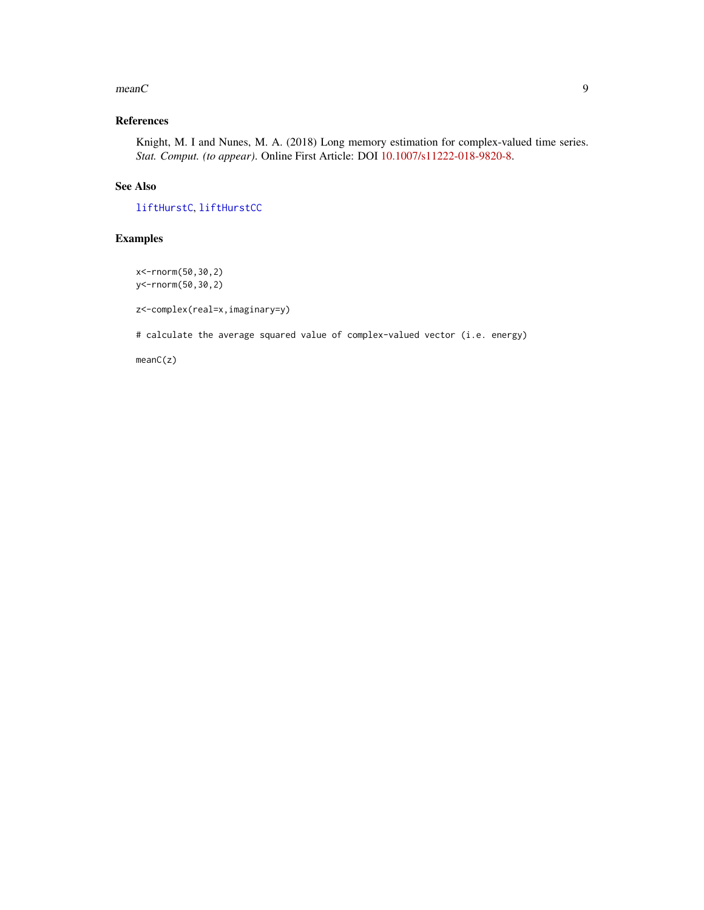#### <span id="page-8-0"></span> $meanC$  9

# References

Knight, M. I and Nunes, M. A. (2018) Long memory estimation for complex-valued time series. *Stat. Comput. (to appear)*. Online First Article: DOI [10.1007/s11222-018-9820-8.](https://doi.org/10.1007/s11222-018-9820-8)

# See Also

[liftHurstC](#page-2-1), [liftHurstCC](#page-4-1)

# Examples

x<-rnorm(50,30,2) y<-rnorm(50,30,2)

z<-complex(real=x,imaginary=y)

# calculate the average squared value of complex-valued vector (i.e. energy)

meanC(z)